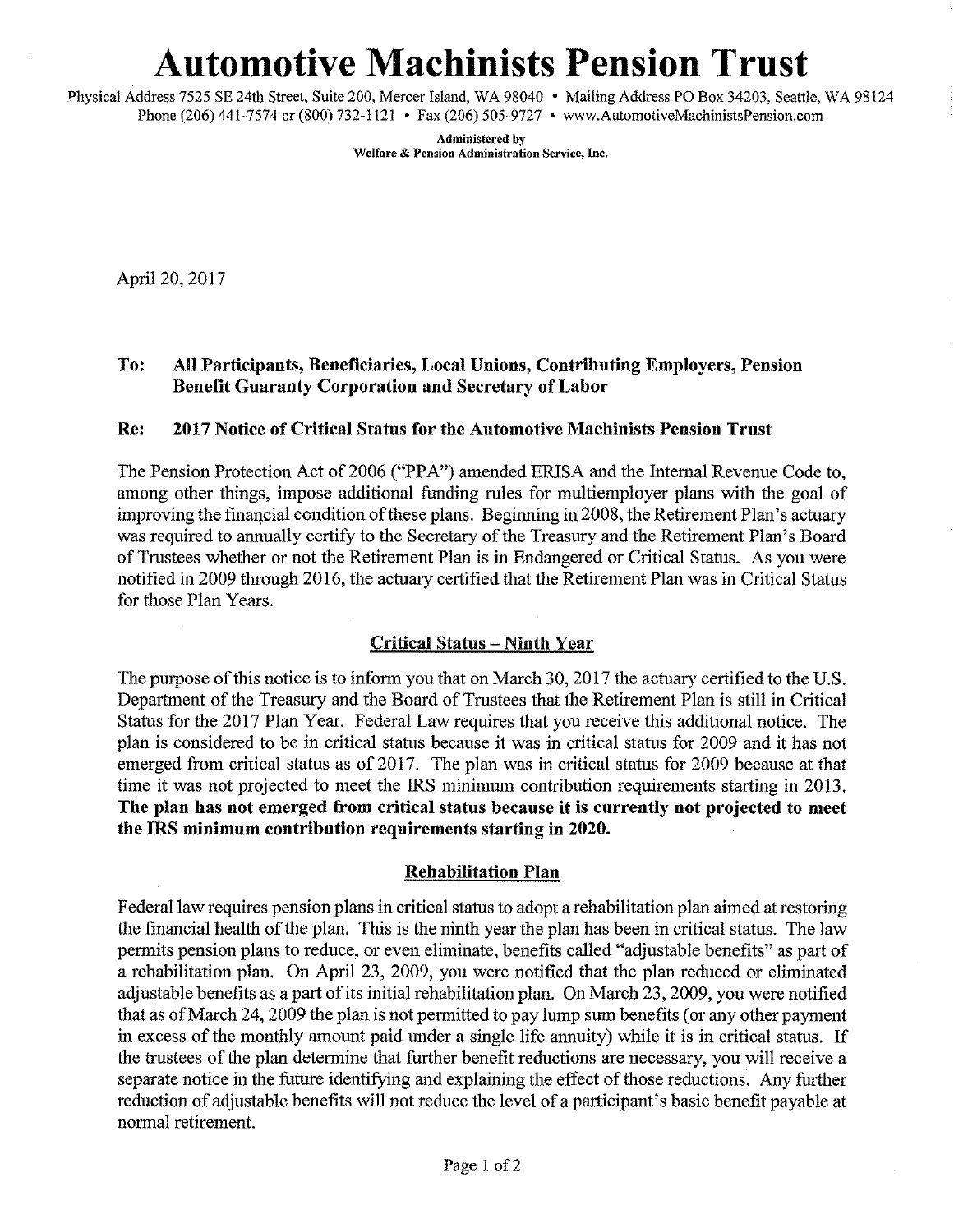# **Automotive Machinists Pension Trust**

Physical Address 7525 SE 24th Street, Suite 200, Mercer Island, WA 98040 • Mailing Address PO Box 34203, Seattle, WA 98124 Phone (206) 441-7574 or (800) 732-1121 • Fax (206) 505-9727 • www.AutomotiveMachinistsPension.com

> **Administered by Welfare & Pension Administration Service, Inc.**

April 20, 2017

# To: All Participants, Beneficiaries, Local Unions, Contribnting Employers, Pension Benefit Gnaranty Corporation and Secretary of Labor

## Re: 2017 Notice of Critical Status for the Automotive Machinists Pension Trust

The Pension Protection Act of 2006 ("PPA") amended ERISA and the Internal Revenue Code to, among other things, impose additional funding mies for multiemployer plans with the goal of improving the financial condition of these plans. Beginning in 2008, the Retirement Plan's actuary was required to annually certify to the Secretary of the Treasury and the Retirement Plan's Board of Trustees whether or not the Retirement Plan is in Endangered or Critical Status. As you were notified in 2009 through 2016, the actuary certified that the Retirement Plan was in Critical Status for those Plan Years.

# Critical Status - Ninth Year

The purpose of this notice is to inform you that on March 30, 2017 the actuary certified to the U.S. Department of the Treasury and the Board of Trustees that the Retirement Plan is still in Critical Status for the 2017 Plan Year. Federal Law requires that you receive this additional notice. The plan is considered to be in critical status because it was in critical status for 2009 and it has not emerged from critical status as of 2017. The plan was in critical status for 2009 because at that time it was not projected to meet the IRS minimum contribution requirements starting in 2013. The plan has not emerged from critical status because it is currently not projected to meet the IRS minimum contribution requirements starting in 2020.

### Rehabilitation Plan

Federal law requires pension plans in critical status to adopt a rehabilitation plan aimed at restoring the financial health of the plan. This is the ninth year the plan has been in critical status. The law permits pension plans to reduce, or even eliminate, benefits called "adjustable benefits" as part of a rehabilitation plan. On April 23, 2009, you were notified that the plan reduced or eliminated adjustable benefits as a part of its initial rehabilitation plan. On March 23, 2009, you were notified that as of March 24, 2009 the plan is not permitted to pay lump sum benefits (or any other payment in excess of the monthly amount paid under a single life annuity) while it is in critical status. If the trustees of the plan determine that further benefit reductions are necessary, you will receive a separate notice in the future identifying and explaining the effect of those reductions. Any further reduction of adjustable benefits will not reduce the level of a participant's basic benefit payable at normal retirement.